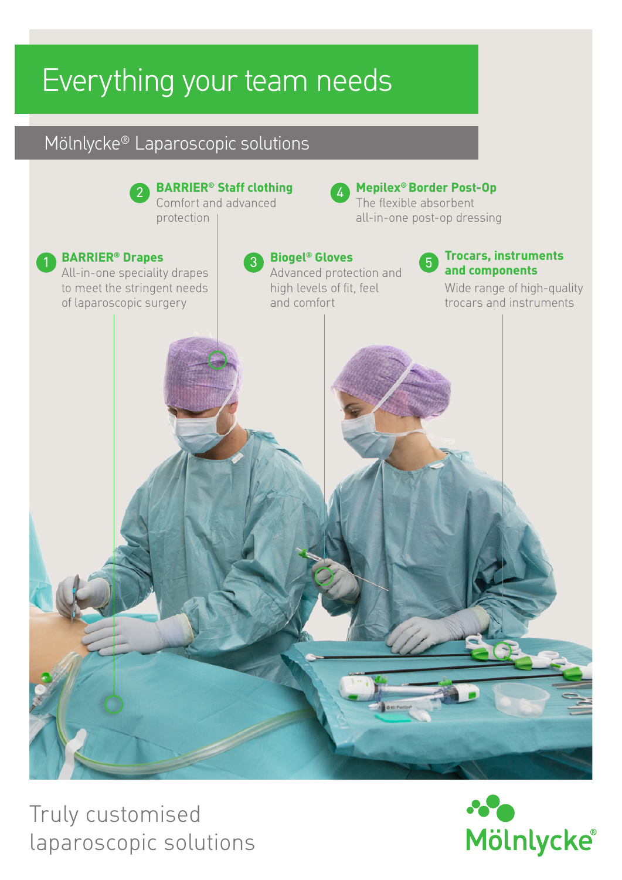# Everything your team needs

# Mölnlycke® Laparoscopic solutions



Truly customised laparoscopic solutions